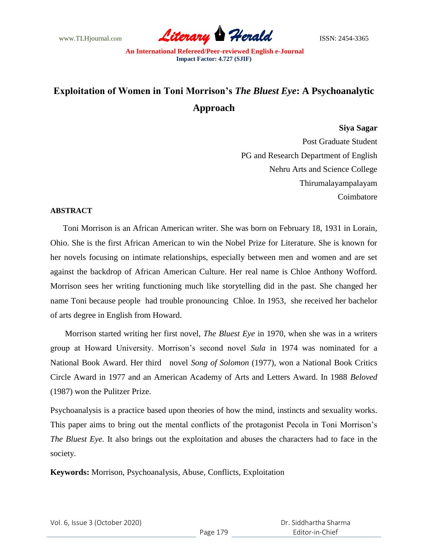www.TLHjournal.com **Literary Perald Herald ISSN: 2454-3365** 

# **Exploitation of Women in Toni Morrison's** *The Bluest Eye***: A Psychoanalytic Approach**

## **Siya Sagar**

Post Graduate Student PG and Research Department of English Nehru Arts and Science College Thirumalayampalayam Coimbatore

## **ABSTRACT**

 Toni Morrison is an African American writer. She was born on February 18, 1931 in Lorain, Ohio. She is the first African American to win the Nobel Prize for Literature. She is known for her novels focusing on intimate relationships, especially between men and women and are set against the backdrop of African American Culture. Her real name is Chloe Anthony Wofford. Morrison sees her writing functioning much like storytelling did in the past. She changed her name Toni because people had trouble pronouncing Chloe. In 1953, she received her bachelor of arts degree in English from Howard.

 Morrison started writing her first novel, *The Bluest Eye* in 1970, when she was in a writers group at Howard University. Morrison"s second novel *Sula* in 1974 was nominated for a National Book Award. Her third novel *Song of Solomon* (1977), won a National Book Critics Circle Award in 1977 and an American Academy of Arts and Letters Award. In 1988 *Beloved* (1987) won the Pulitzer Prize.

Psychoanalysis is a practice based upon theories of how the mind, instincts and sexuality works. This paper aims to bring out the mental conflicts of the protagonist Pecola in Toni Morrison"s *The Bluest Eye.* It also brings out the exploitation and abuses the characters had to face in the society.

**Keywords:** Morrison, Psychoanalysis, Abuse, Conflicts, Exploitation

| Vol. 6, Issue 3 (October 2020) |  |  |
|--------------------------------|--|--|
|--------------------------------|--|--|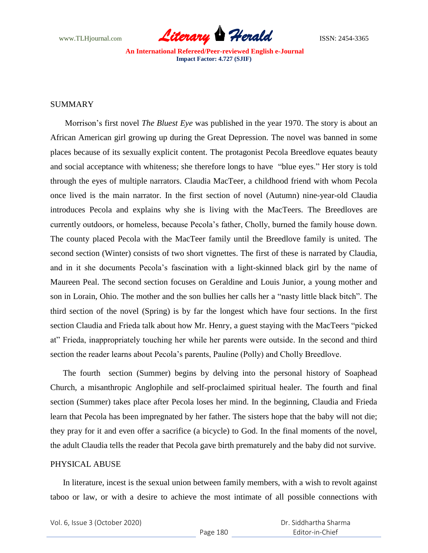

# SUMMARY

 Morrison"s first novel *The Bluest Eye* was published in the year 1970. The story is about an African American girl growing up during the Great Depression. The novel was banned in some places because of its sexually explicit content. The protagonist Pecola Breedlove equates beauty and social acceptance with whiteness; she therefore longs to have "blue eyes." Her story is told through the eyes of multiple narrators. Claudia MacTeer, a childhood friend with whom Pecola once lived is the main narrator. In the first section of novel (Autumn) nine-year-old Claudia introduces Pecola and explains why she is living with the MacTeers. The Breedloves are currently outdoors, or homeless, because Pecola"s father, Cholly, burned the family house down. The county placed Pecola with the MacTeer family until the Breedlove family is united. The second section (Winter) consists of two short vignettes. The first of these is narrated by Claudia, and in it she documents Pecola's fascination with a light-skinned black girl by the name of Maureen Peal. The second section focuses on Geraldine and Louis Junior, a young mother and son in Lorain, Ohio. The mother and the son bullies her calls her a "nasty little black bitch". The third section of the novel (Spring) is by far the longest which have four sections. In the first section Claudia and Frieda talk about how Mr. Henry, a guest staying with the MacTeers "picked at" Frieda, inappropriately touching her while her parents were outside. In the second and third section the reader learns about Pecola's parents, Pauline (Polly) and Cholly Breedlove.

 The fourth section (Summer) begins by delving into the personal history of Soaphead Church, a misanthropic Anglophile and self-proclaimed spiritual healer. The fourth and final section (Summer) takes place after Pecola loses her mind. In the beginning, Claudia and Frieda learn that Pecola has been impregnated by her father. The sisters hope that the baby will not die; they pray for it and even offer a sacrifice (a bicycle) to God. In the final moments of the novel, the adult Claudia tells the reader that Pecola gave birth prematurely and the baby did not survive.

#### PHYSICAL ABUSE

 In literature, incest is the sexual union between family members, with a wish to revolt against taboo or law, or with a desire to achieve the most intimate of all possible connections with

| Vol. 6, Issue 3 (October 2020) |  |  |
|--------------------------------|--|--|
|--------------------------------|--|--|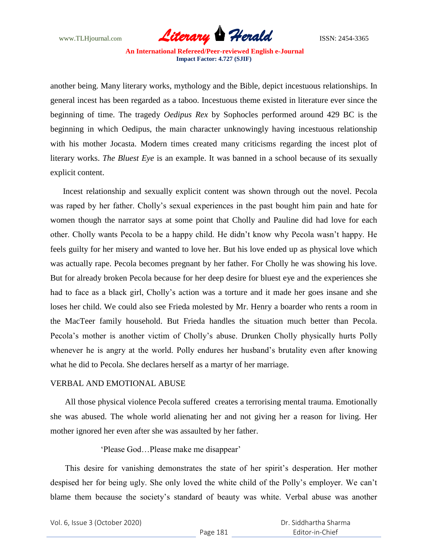

another being. Many literary works, mythology and the Bible, depict incestuous relationships. In general incest has been regarded as a taboo. Incestuous theme existed in literature ever since the beginning of time. The tragedy *Oedipus Rex* by Sophocles performed around 429 BC is the beginning in which Oedipus, the main character unknowingly having incestuous relationship with his mother Jocasta. Modern times created many criticisms regarding the incest plot of literary works. *The Bluest Eye* is an example. It was banned in a school because of its sexually explicit content.

 Incest relationship and sexually explicit content was shown through out the novel. Pecola was raped by her father. Cholly"s sexual experiences in the past bought him pain and hate for women though the narrator says at some point that Cholly and Pauline did had love for each other. Cholly wants Pecola to be a happy child. He didn"t know why Pecola wasn"t happy. He feels guilty for her misery and wanted to love her. But his love ended up as physical love which was actually rape. Pecola becomes pregnant by her father. For Cholly he was showing his love. But for already broken Pecola because for her deep desire for bluest eye and the experiences she had to face as a black girl, Cholly's action was a torture and it made her goes insane and she loses her child. We could also see Frieda molested by Mr. Henry a boarder who rents a room in the MacTeer family household. But Frieda handles the situation much better than Pecola. Pecola's mother is another victim of Cholly's abuse. Drunken Cholly physically hurts Polly whenever he is angry at the world. Polly endures her husband"s brutality even after knowing what he did to Pecola. She declares herself as a martyr of her marriage.

#### VERBAL AND EMOTIONAL ABUSE

 All those physical violence Pecola suffered creates a terrorising mental trauma. Emotionally she was abused. The whole world alienating her and not giving her a reason for living. Her mother ignored her even after she was assaulted by her father.

## "Please God…Please make me disappear"

This desire for vanishing demonstrates the state of her spirit's desperation. Her mother despised her for being ugly. She only loved the white child of the Polly"s employer. We can"t blame them because the society"s standard of beauty was white. Verbal abuse was another

Vol. 6, Issue 3 (October 2020)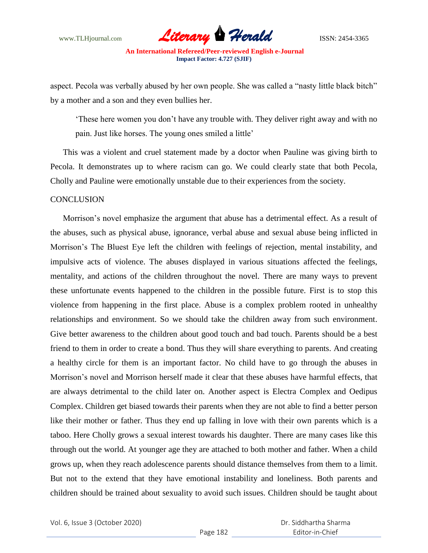

aspect. Pecola was verbally abused by her own people. She was called a "nasty little black bitch" by a mother and a son and they even bullies her.

"These here women you don"t have any trouble with. They deliver right away and with no pain. Just like horses. The young ones smiled a little'

 This was a violent and cruel statement made by a doctor when Pauline was giving birth to Pecola. It demonstrates up to where racism can go. We could clearly state that both Pecola, Cholly and Pauline were emotionally unstable due to their experiences from the society.

## **CONCLUSION**

 Morrison"s novel emphasize the argument that abuse has a detrimental effect. As a result of the abuses, such as physical abuse, ignorance, verbal abuse and sexual abuse being inflicted in Morrison"s The Bluest Eye left the children with feelings of rejection, mental instability, and impulsive acts of violence. The abuses displayed in various situations affected the feelings, mentality, and actions of the children throughout the novel. There are many ways to prevent these unfortunate events happened to the children in the possible future. First is to stop this violence from happening in the first place. Abuse is a complex problem rooted in unhealthy relationships and environment. So we should take the children away from such environment. Give better awareness to the children about good touch and bad touch. Parents should be a best friend to them in order to create a bond. Thus they will share everything to parents. And creating a healthy circle for them is an important factor. No child have to go through the abuses in Morrison"s novel and Morrison herself made it clear that these abuses have harmful effects, that are always detrimental to the child later on. Another aspect is Electra Complex and Oedipus Complex. Children get biased towards their parents when they are not able to find a better person like their mother or father. Thus they end up falling in love with their own parents which is a taboo. Here Cholly grows a sexual interest towards his daughter. There are many cases like this through out the world. At younger age they are attached to both mother and father. When a child grows up, when they reach adolescence parents should distance themselves from them to a limit. But not to the extend that they have emotional instability and loneliness. Both parents and children should be trained about sexuality to avoid such issues. Children should be taught about